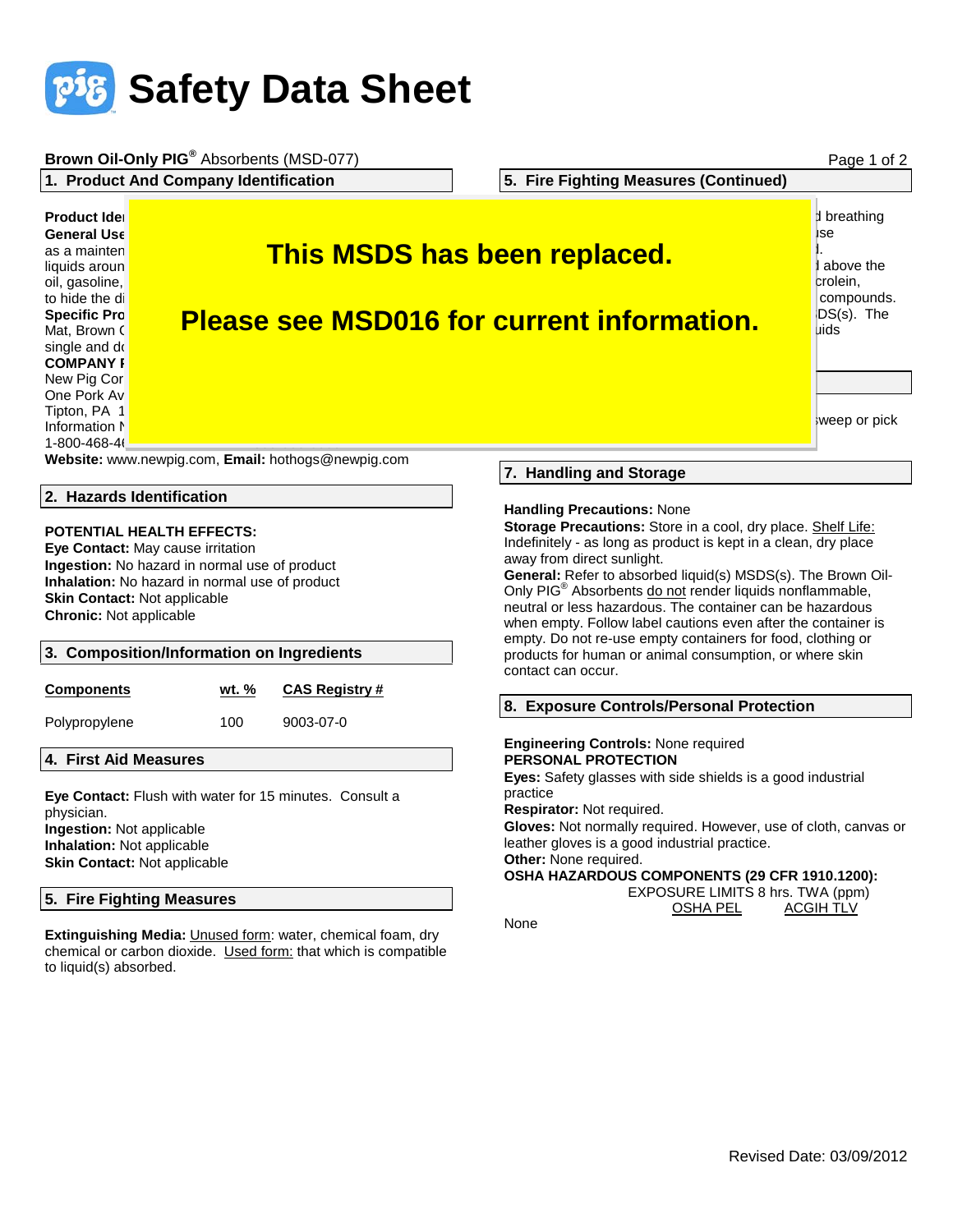

to liquid(s) absorbed.

|                                                                                                                                                                                                                                                                                                | Brown Oil-Only PIG® Absorbents (MSD-077)                                                 |                                                                                                                                                                                                                                                                                                                                                                                                                                                                                                                             | Page 1 of 2                                                                             |
|------------------------------------------------------------------------------------------------------------------------------------------------------------------------------------------------------------------------------------------------------------------------------------------------|------------------------------------------------------------------------------------------|-----------------------------------------------------------------------------------------------------------------------------------------------------------------------------------------------------------------------------------------------------------------------------------------------------------------------------------------------------------------------------------------------------------------------------------------------------------------------------------------------------------------------------|-----------------------------------------------------------------------------------------|
| 1. Product And Company Identification                                                                                                                                                                                                                                                          |                                                                                          | 5. Fire Fighting Measures (Continued)                                                                                                                                                                                                                                                                                                                                                                                                                                                                                       |                                                                                         |
| <b>Product Idel</b><br><b>General Use</b><br>as a mainten<br>liquids aroun<br>oil, gasoline,<br>to hide the di<br><b>Specific Pro</b><br>Mat, Brown (<br>single and do<br><b>COMPANY F</b>                                                                                                     | <b>This MSDS has been replaced.</b><br><b>Please see MSD016 for current information.</b> |                                                                                                                                                                                                                                                                                                                                                                                                                                                                                                                             | <b>d</b> breathing<br>ise<br>above the<br>crolein,<br>compounds.<br>DS(s). The<br>lıids |
| New Pig Cor<br>One Pork Av<br>Tipton, PA 1                                                                                                                                                                                                                                                     |                                                                                          |                                                                                                                                                                                                                                                                                                                                                                                                                                                                                                                             | weep or pick                                                                            |
| Information N<br>1-800-468-46                                                                                                                                                                                                                                                                  |                                                                                          |                                                                                                                                                                                                                                                                                                                                                                                                                                                                                                                             |                                                                                         |
| Website: www.newpig.com, Email: hothogs@newpig.com                                                                                                                                                                                                                                             |                                                                                          |                                                                                                                                                                                                                                                                                                                                                                                                                                                                                                                             |                                                                                         |
| 2. Hazards Identification                                                                                                                                                                                                                                                                      |                                                                                          | 7. Handling and Storage                                                                                                                                                                                                                                                                                                                                                                                                                                                                                                     |                                                                                         |
| <b>POTENTIAL HEALTH EFFECTS:</b><br>Eye Contact: May cause irritation<br>Ingestion: No hazard in normal use of product<br>Inhalation: No hazard in normal use of product<br><b>Skin Contact: Not applicable</b><br><b>Chronic:</b> Not applicable<br>3. Composition/Information on Ingredients |                                                                                          | <b>Handling Precautions: None</b><br>Storage Precautions: Store in a cool, dry place. Shelf Life:<br>Indefinitely - as long as product is kept in a clean, dry place<br>away from direct sunlight.<br>General: Refer to absorbed liquid(s) MSDS(s). The Brown Oil-<br>Only PIG® Absorbents do not render liquids nonflammable,<br>neutral or less hazardous. The container can be hazardous<br>when empty. Follow label cautions even after the container is<br>empty. Do not re-use empty containers for food, clothing or |                                                                                         |
|                                                                                                                                                                                                                                                                                                |                                                                                          | products for human or animal consumption, or where skin<br>contact can occur.                                                                                                                                                                                                                                                                                                                                                                                                                                               |                                                                                         |
| <b>Components</b>                                                                                                                                                                                                                                                                              | <u>wt. %</u><br><b>CAS Registry #</b>                                                    | 8. Exposure Controls/Personal Protection                                                                                                                                                                                                                                                                                                                                                                                                                                                                                    |                                                                                         |
| Polypropylene<br>9003-07-0<br>100<br>4. First Aid Measures<br>Eye Contact: Flush with water for 15 minutes. Consult a<br>physician.<br>Ingestion: Not applicable<br>Inhalation: Not applicable                                                                                                 |                                                                                          | <b>Engineering Controls: None required</b><br><b>PERSONAL PROTECTION</b><br>Eyes: Safety glasses with side shields is a good industrial<br>practice<br>Respirator: Not required.<br>Gloves: Not normally required. However, use of cloth, canvas or<br>leather gloves is a good industrial practice.<br>Other: None required.                                                                                                                                                                                               |                                                                                         |
| Skin Contact: Not applicable<br>5. Fire Fighting Measures<br>Extinguishing Media: Unused form: water, chemical foam, dry                                                                                                                                                                       |                                                                                          | OSHA HAZARDOUS COMPONENTS (29 CFR 1910.1200):<br>EXPOSURE LIMITS 8 hrs. TWA (ppm)<br><b>ACGIH TLV</b><br><b>OSHA PEL</b><br>None                                                                                                                                                                                                                                                                                                                                                                                            |                                                                                         |
| chemical or carbon dioxide. Used form: that which is compatible                                                                                                                                                                                                                                |                                                                                          |                                                                                                                                                                                                                                                                                                                                                                                                                                                                                                                             |                                                                                         |